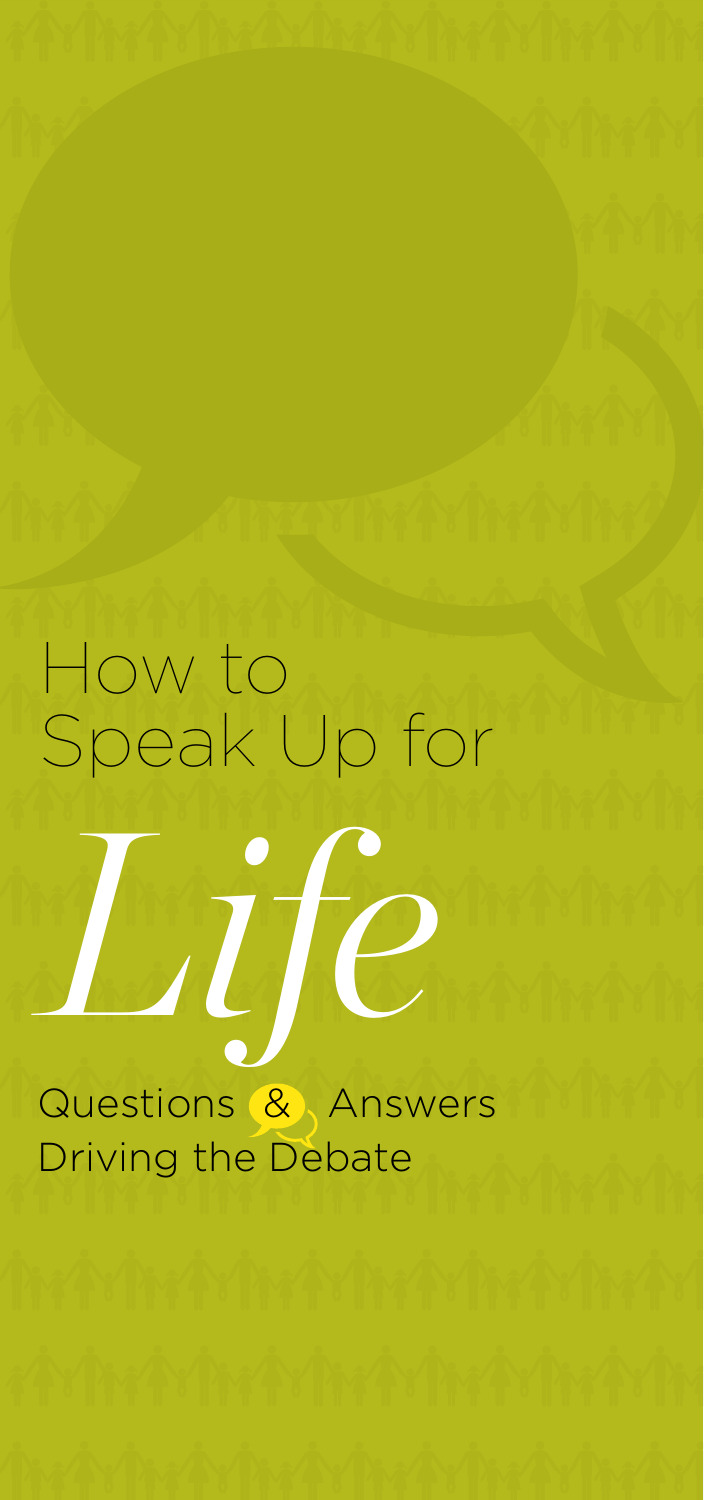# How to Speak Up for *Life* Questions & Answers Driving the Debate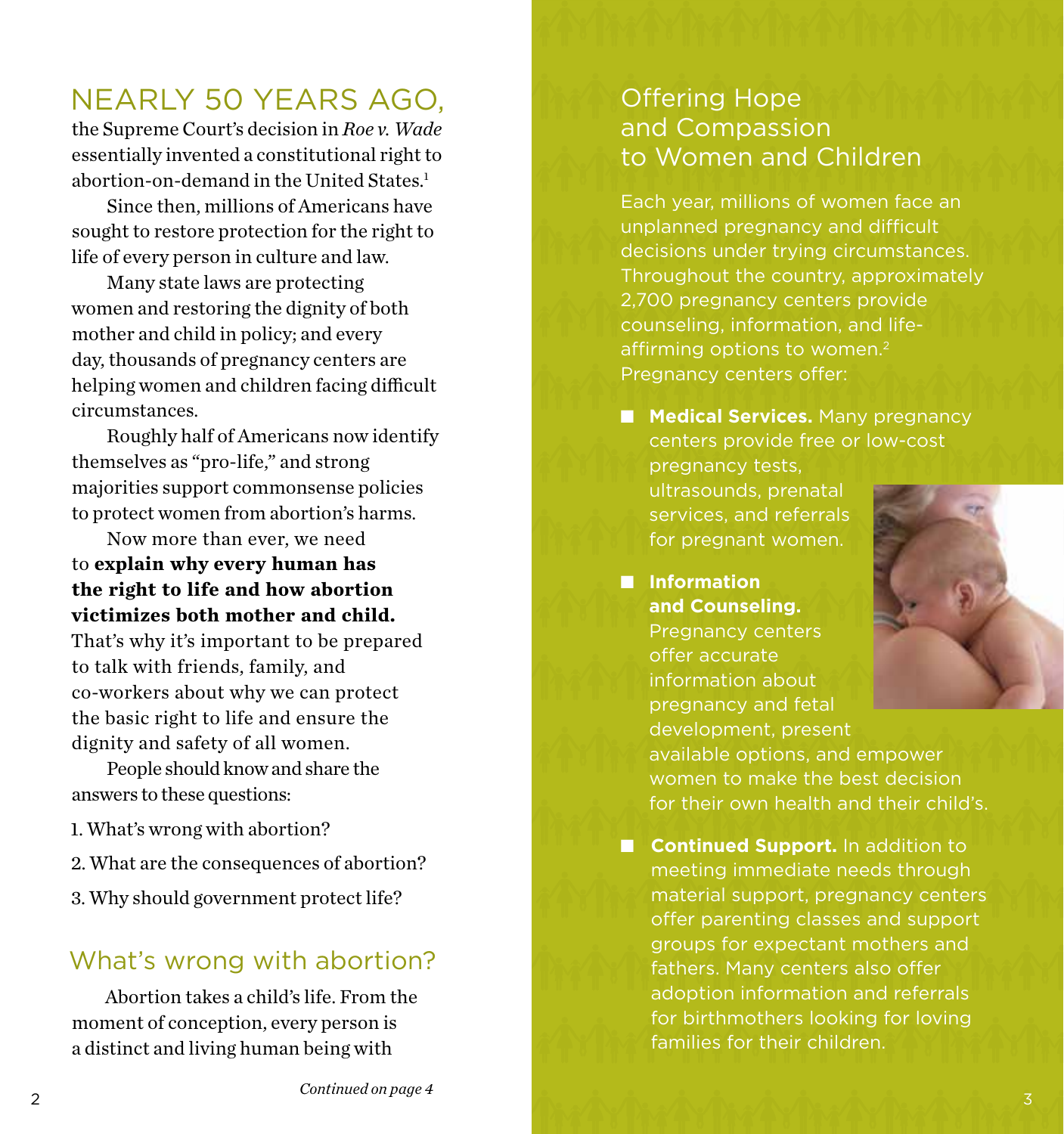## NEARLY 50 YEARS AGO,

the Supreme Court's decision in *Roe v. Wade*  essentially invented a constitutional right to abortion-on-demand in the United States. 1

Since then, millions of Americans have sought to restore protection for the right to life of every person in culture and law.

Many state laws are protecting women and restoring the dignity of both mother and child in policy; and every day, thousands of pregnancy centers are helping women and children facing difficult circumstances.

Roughly half of Americans now identify themselves as "pro-life," and strong majorities support commonsense policies to protect women from abortion's harms.

Now more than ever, we need to **explain why every human has the right to life and how abortion victimizes both mother and child.**

That's why it's important to be prepared to talk with friends, family, and co-workers about why we can protect the basic right to life and ensure the dignity and safety of all women.

People should know and share the answers to these questions:

- 1. What's wrong with abortion?
- 2. What are the consequences of abortion?
- 3. Why should government protect life?

#### What's wrong with abortion?

Abortion takes a child's life. From the moment of conception, every person is a distinct and living human being with

### Offering Hope and Compassion to Women and Children

Each year, millions of women face an unplanned pregnancy and difficult decisions under trying circumstances. Throughout the country, approximately 2,700 pregnancy centers provide counseling, information, and lifeaffirming options to women.<sup>2</sup> Pregnancy centers offer:

**n Medical Services.** Many pregnancy centers provide free or low-cost pregnancy tests, ultrasounds, prenatal services, and referrals

n **Information and Counseling.**  Pregnancy centers offer accurate information about pregnancy and fetal development, present available options, and empower women to make the best decision for their own health and their child's.

**n Continued Support.** In addition to meeting immediate needs through material support, pregnancy centers offer parenting classes and support groups for expectant mothers and fathers. Many centers also offer adoption information and referrals for birthmothers looking for loving families for their children.



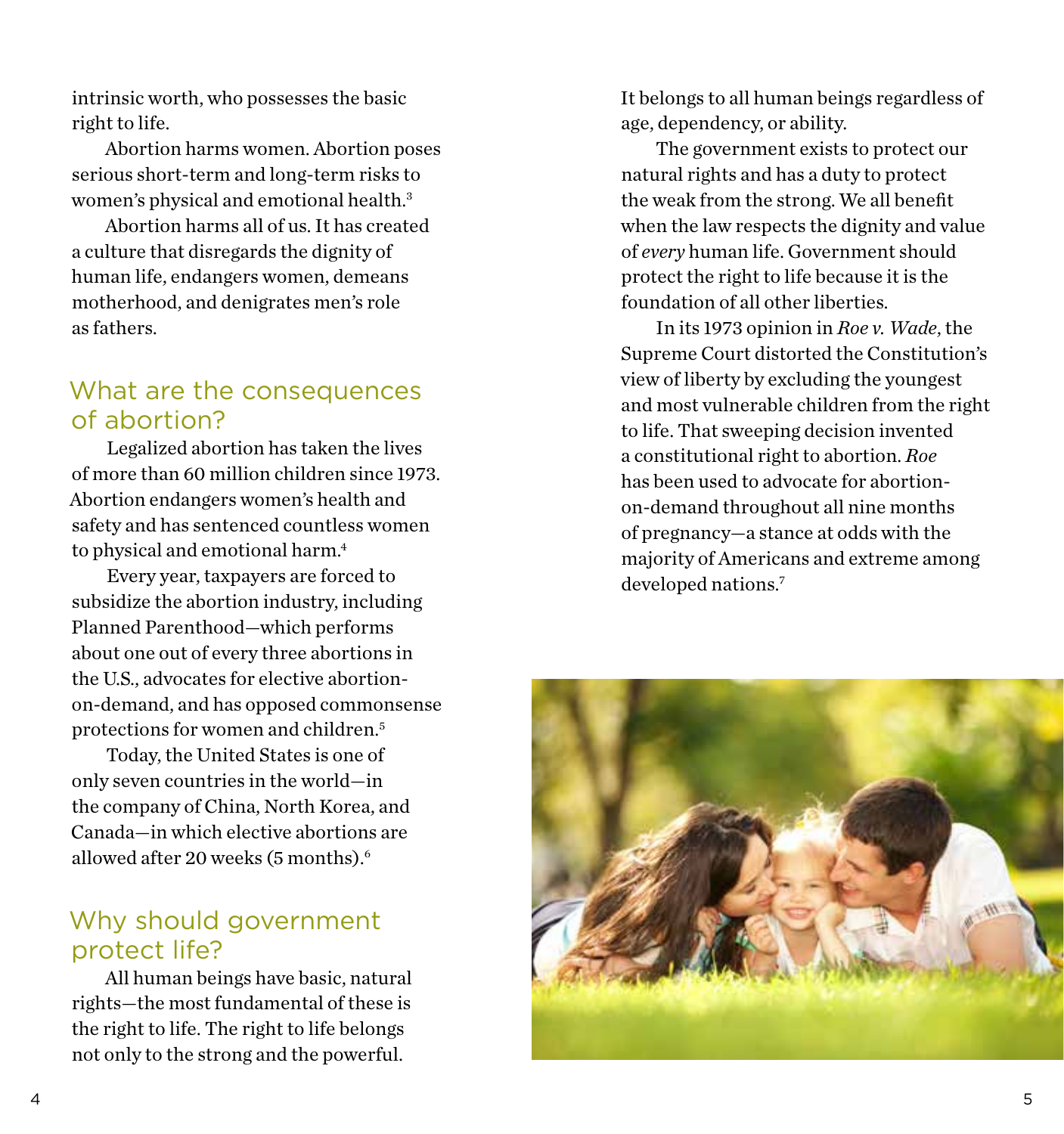intrinsic worth, who possesses the basic right to life.

Abortion harms women. Abortion poses serious short-term and long-term risks to women's physical and emotional health.<sup>3</sup>

Abortion harms all of us. It has created a culture that disregards the dignity of human life, endangers women, demeans motherhood, and denigrates men's role as fathers.

#### What are the consequences of abortion?

Legalized abortion has taken the lives of more than 60 million children since 1973. Abortion endangers women's health and safety and has sentenced countless women to physical and emotional harm.<sup>4</sup>

Every year, taxpayers are forced to subsidize the abortion industry, including Planned Parenthood—which performs about one out of every three abortions in the U.S., advocates for elective abortionon-demand, and has opposed commonsense protections for women and children.5

Today, the United States is one of only seven countries in the world—in the company of China, North Korea, and Canada—in which elective abortions are allowed after 20 weeks  $(5 \text{ months})$ <sup>6</sup>

## Why should government protect life?

All human beings have basic, natural rights—the most fundamental of these is the right to life. The right to life belongs not only to the strong and the powerful.

It belongs to all human beings regardless of age, dependency, or ability.

The government exists to protect our natural rights and has a duty to protect the weak from the strong. We all benefit when the law respects the dignity and value of *every* human life. Government should protect the right to life because it is the foundation of all other liberties.

In its 1973 opinion in *Roe v. Wade*, the Supreme Court distorted the Constitution's view of liberty by excluding the youngest and most vulnerable children from the right to life. That sweeping decision invented a constitutional right to abortion. *Roe* has been used to advocate for abortionon-demand throughout all nine months of pregnancy—a stance at odds with the majority of Americans and extreme among developed nations.7

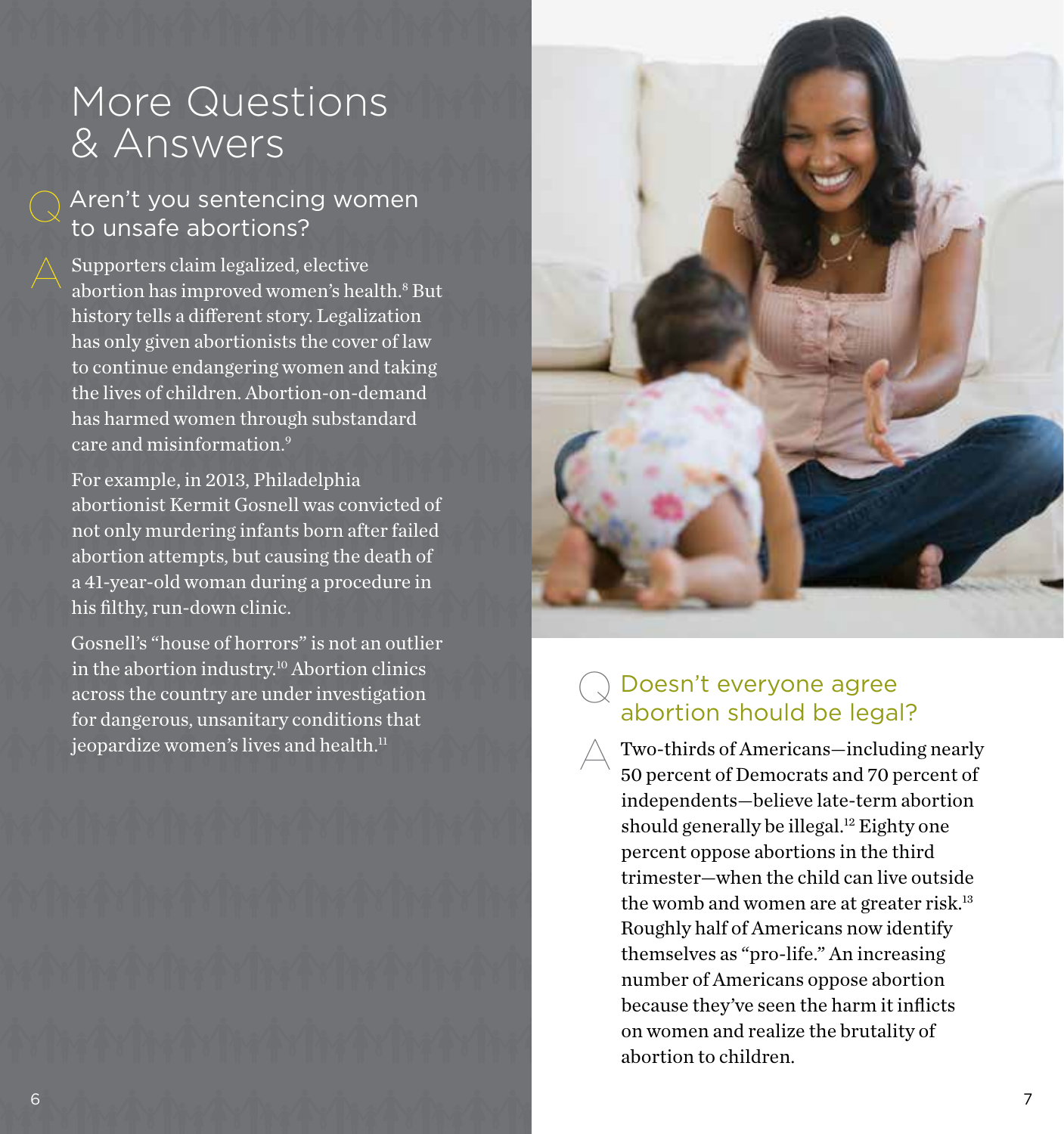## More Questions & Answers

### Aren't you sentencing women to unsafe abortions?

Supporters claim legalized, elective abortion has improved women's health.<sup>8</sup> But history tells a different story. Legalization has only given abortionists the cover of law to continue endangering women and taking the lives of children. Abortion-on-demand has harmed women through substandard care and misinformation.9

For example, in 2013, Philadelphia abortionist Kermit Gosnell was convicted of not only murdering infants born after failed abortion attempts, but causing the death of a 41-year-old woman during a procedure in his filthy, run-down clinic.

Gosnell's "house of horrors" is not an outlier in the abortion industry.<sup>10</sup> Abortion clinics across the country are under investigation for dangerous, unsanitary conditions that jeopardize women's lives and health.<sup>11</sup>

6



#### Doesn't everyone agree abortion should be legal?  $\bigcirc$

Two-thirds of Americans—including nearly 50 percent of Democrats and 70 percent of independents—believe late-term abortion should generally be illegal.<sup>12</sup> Eighty one percent oppose abortions in the third trimester—when the child can live outside the womb and women are at greater risk.<sup>13</sup> Roughly half of Americans now identify themselves as "pro-life." An increasing number of Americans oppose abortion because they've seen the harm it inflicts on women and realize the brutality of abortion to children.  $\triangle$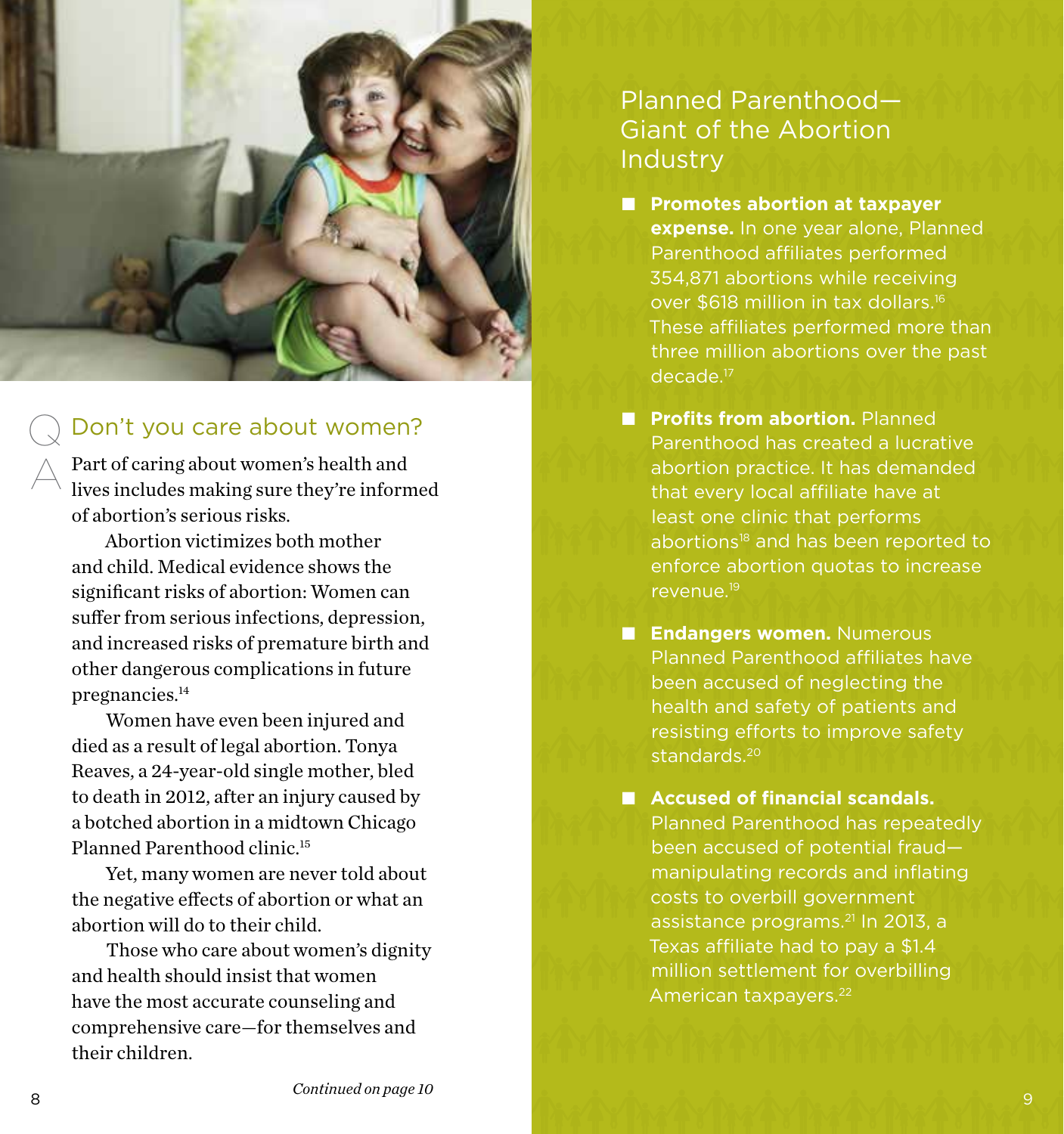

#### Don't you care about women?  $\bigcirc$

Part of caring about women's health and lives includes making sure they're informed of abortion's serious risks.

Abortion victimizes both mother and child. Medical evidence shows the significant risks of abortion: Women can suffer from serious infections, depression, and increased risks of premature birth and other dangerous complications in future pregnancies.<sup>14</sup>

Women have even been injured and died as a result of legal abortion. Tonya Reaves, a 24-year-old single mother, bled to death in 2012, after an injury caused by a botched abortion in a midtown Chicago Planned Parenthood clinic.15

Yet, many women are never told about the negative effects of abortion or what an abortion will do to their child.

Those who care about women's dignity and health should insist that women have the most accurate counseling and comprehensive care—for themselves and their children.

## Planned Parenthood— Giant of the Abortion **Industry**

- Promotes abortion at taxpayer **expense.** In one year alone, Planned Parenthood affiliates performed 354,871 abortions while receiving over \$618 million in tax dollars.16 These affiliates performed more than three million abortions over the past decade.17
- **n** Profits from abortion. Planned Parenthood has created a lucrative abortion practice. It has demanded that every local affiliate have at least one clinic that performs abortions<sup>18</sup> and has been reported to enforce abortion quotas to increase revenue.19
- **n Endangers women.** Numerous Planned Parenthood affiliates have been accused of neglecting the health and safety of patients and resisting efforts to improve safety standards.<sup>20</sup>
- Accused of financial scandals. Planned Parenthood has repeatedly been accused of potential fraud manipulating records and inflating costs to overbill government assistance programs.<sup>21</sup> In 2013, a Texas affiliate had to pay a \$1.4 million settlement for overbilling American taxpayers.<sup>22</sup>

A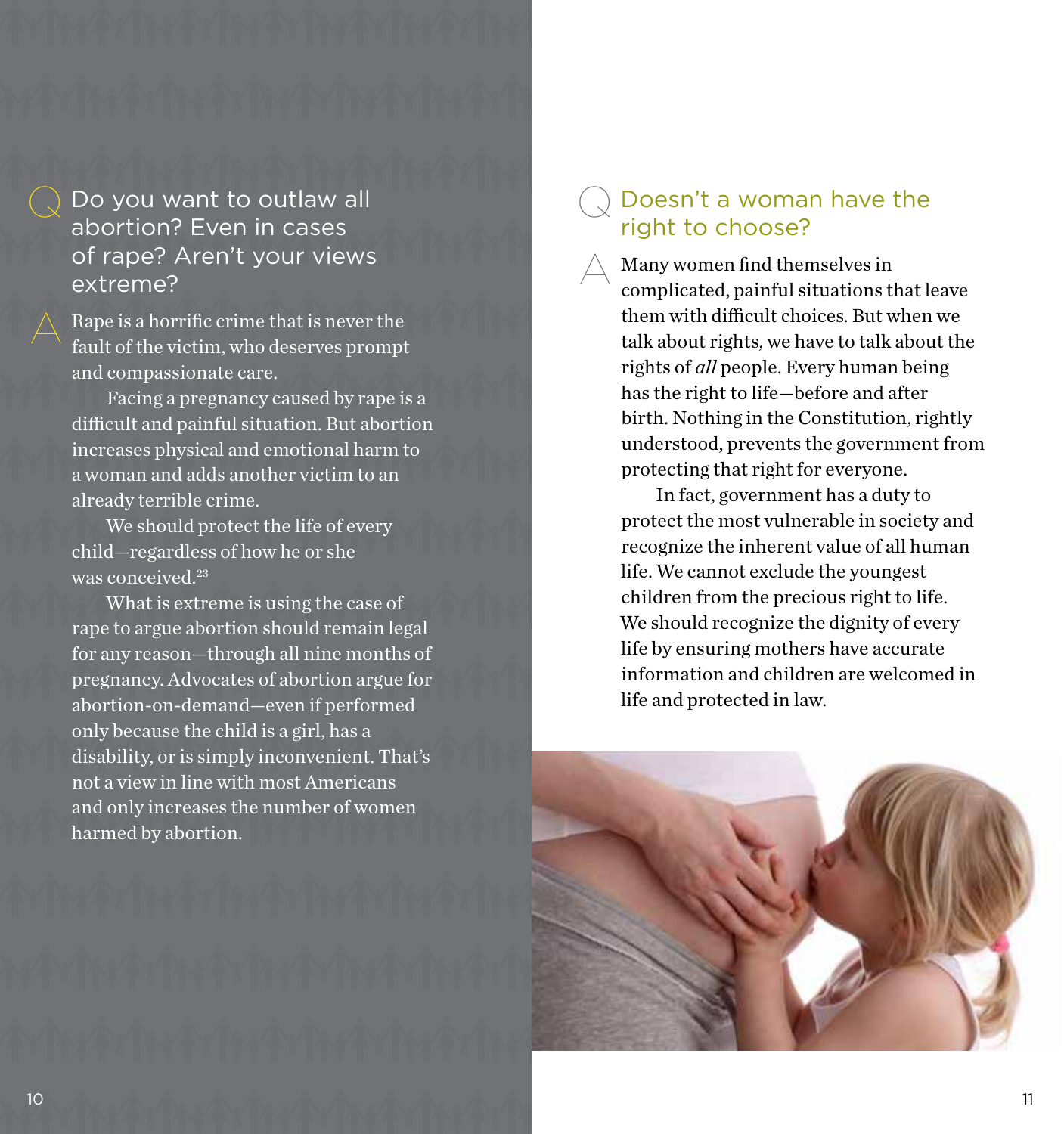Do you want to outlaw all abortion? Even in cases of rape? Aren't your views extreme?

Rape is a horrific crime that is never the fault of the victim, who deserves prompt and compassionate care.

Facing a pregnancy caused by rape is a difficult and painful situation. But abortion increases physical and emotional harm to a woman and adds another victim to an already terrible crime.

We should protect the life of every child—regardless of how he or she was conceived.<sup>23</sup>

What is extreme is using the case of rape to argue abortion should remain legal for any reason—through all nine months of pregnancy. Advocates of abortion argue for abortion-on-demand—even if performed only because the child is a girl, has a disability, or is simply inconvenient. That's not a view in line with most Americans and only increases the number of women harmed by abortion.

#### Doesn't a woman have the right to choose?  $\bigcirc$

 $\triangle$ 

Many women find themselves in complicated, painful situations that leave them with difficult choices. But when we talk about rights, we have to talk about the rights of *all* people. Every human being has the right to life—before and after birth. Nothing in the Constitution, rightly understood, prevents the government from protecting that right for everyone.

In fact, government has a duty to protect the most vulnerable in society and recognize the inherent value of all human life. We cannot exclude the youngest children from the precious right to life. We should recognize the dignity of every life by ensuring mothers have accurate information and children are welcomed in life and protected in law.

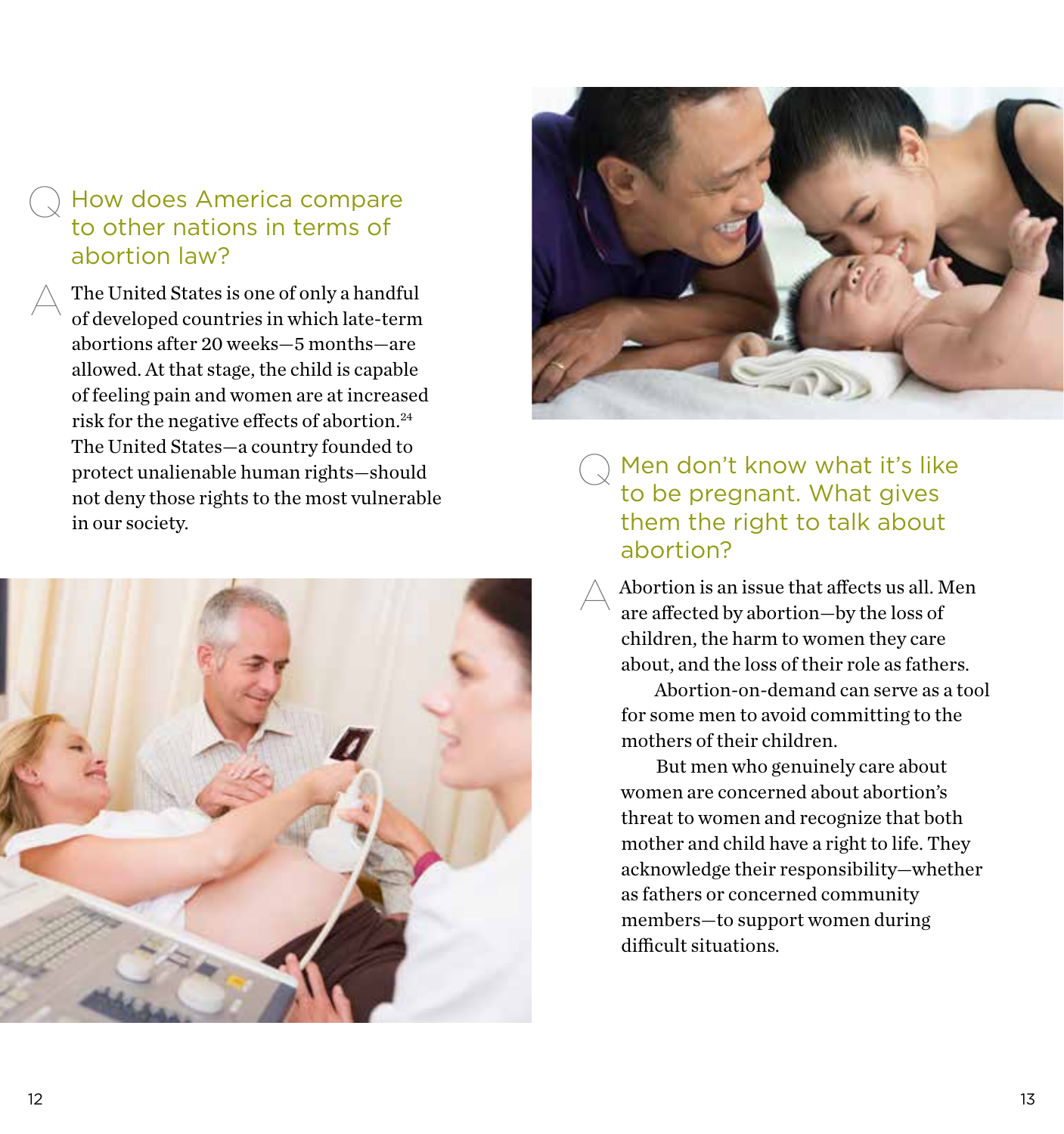#### How does America compare to other nations in terms of abortion law?  $\bigcirc$

The United States is one of only a handful of developed countries in which late-term abortions after 20 weeks—5 months—are allowed. At that stage, the child is capable of feeling pain and women are at increased risk for the negative effects of abortion.24 The United States—a country founded to protect unalienable human rights—should not deny those rights to the most vulnerable in our society. A





**Q** Men don't know what it's like to be pregnant. What gives them the right to talk about abortion?

 $\triangle$ 

Abortion is an issue that affects us all. Men are affected by abortion—by the loss of children, the harm to women they care about, and the loss of their role as fathers.

Abortion-on-demand can serve as a tool for some men to avoid committing to the mothers of their children.

But men who genuinely care about women are concerned about abortion's threat to women and recognize that both mother and child have a right to life. They acknowledge their responsibility—whether as fathers or concerned community members—to support women during difficult situations.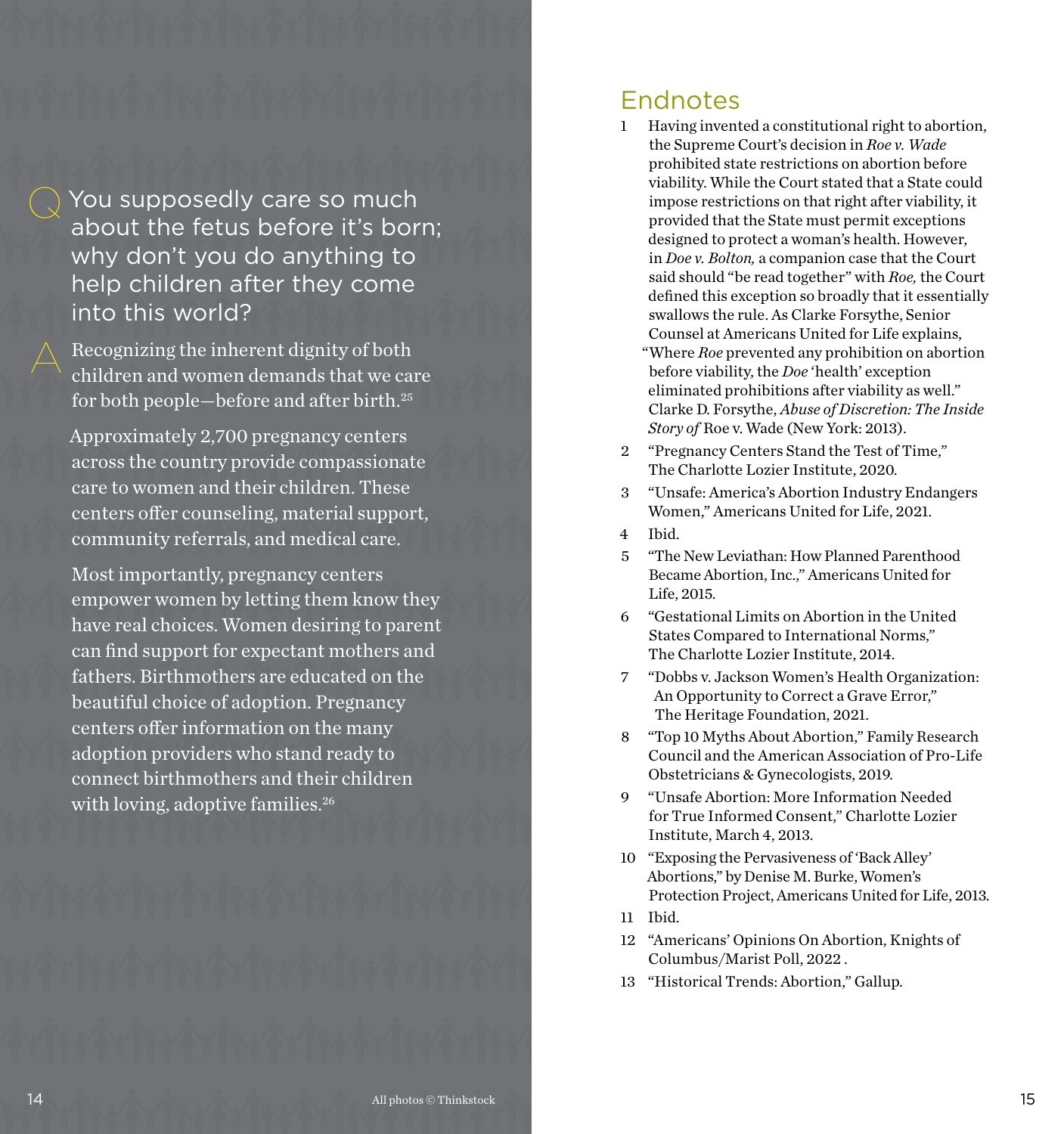**Q** You supposedly care so much about the fetus before it's born; why don't you do anything to help children after they come into this world?

Recognizing the inherent dignity of both children and women demands that we care for both people—before and after birth.25

Approximately 2,700 pregnancy centers across the country provide compassionate care to women and their children. These centers offer counseling, material support, community referrals, and medical care.

Most importantly, pregnancy centers empower women by letting them know they have real choices. Women desiring to parent can find support for expectant mothers and fathers. Birthmothers are educated on the beautiful choice of adoption. Pregnancy centers offer information on the many adoption providers who stand ready to connect birthmothers and their children with loving, adoptive families.<sup>26</sup>

#### Endnotes

- 1 Having invented a constitutional right to abortion, the Supreme Court's decision in *Roe v. Wade*  prohibited state restrictions on abortion before viability. While the Court stated that a State could impose restrictions on that right after viability, it provided that the State must permit exceptions designed to protect a woman's health. However, in *Doe v. Bolton,* a companion case that the Court said should "be read together" with *Roe,* the Court defined this exception so broadly that it essentially swallows the rule. As Clarke Forsythe, Senior Counsel at Americans United for Life explains, "Where *Roe* prevented any prohibition on abortion before viability, the *Doe* 'health' exception eliminated prohibitions after viability as well." Clarke D. Forsythe, *Abuse of Discretion: The Inside Story of* Roe v. Wade (New York: 2013).
- 2 "Pregnancy Centers Stand the Test of Time," The Charlotte Lozier Institute, 2020.
- 3 "Unsafe: America's Abortion Industry Endangers Women," Americans United for Life, 2021.
- 4 Ibid.
- 5 "The New Leviathan: How Planned Parenthood Became Abortion, Inc.," Americans United for Life, 2015.
- 6 "Gestational Limits on Abortion in the United States Compared to International Norms," The Charlotte Lozier Institute, 2014.
- 7 "Dobbs v. Jackson Women's Health Organization: An Opportunity to Correct a Grave Error," The Heritage Foundation, 2021.
- 8 "Top 10 Myths About Abortion," Family Research Council and the American Association of Pro-Life Obstetricians & Gynecologists, 2019.
- 9 "Unsafe Abortion: More Information Needed for True Informed Consent," Charlotte Lozier Institute, March 4, 2013.
- 10 "Exposing the Pervasiveness of 'Back Alley' Abortions," by Denise M. Burke, Women's Protection Project, Americans United for Life, 2013.
- 11 Ibid.
- 12 "Americans' Opinions On Abortion, Knights of Columbus/Marist Poll, 2022 .
- 13 "Historical Trends: Abortion," Gallup.